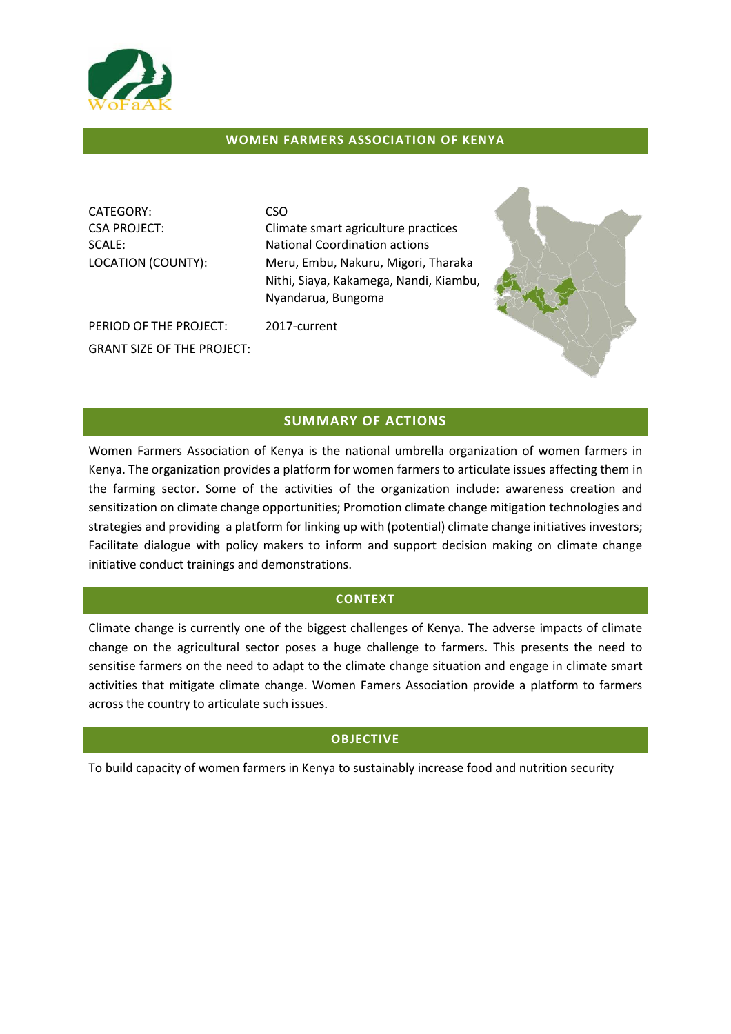

## **WOMEN FARMERS ASSOCIATION OF KENYA**

CATEGORY: CSO

CSA PROJECT: Climate smart agriculture practices SCALE: National Coordination actions LOCATION (COUNTY): Meru, Embu, Nakuru, Migori, Tharaka Nithi, Siaya, Kakamega, Nandi, Kiambu, Nyandarua, Bungoma

PERIOD OF THE PROJECT: 2017-current GRANT SIZE OF THE PROJECT:



# **SUMMARY OF ACTIONS**

Women Farmers Association of Kenya is the national umbrella organization of women farmers in Kenya. The organization provides a platform for women farmers to articulate issues affecting them in the farming sector. Some of the activities of the organization include: awareness creation and sensitization on climate change opportunities; Promotion climate change mitigation technologies and strategies and providing a platform for linking up with (potential) climate change initiatives investors; Facilitate dialogue with policy makers to inform and support decision making on climate change initiative conduct trainings and demonstrations.

### **CONTEXT**

Climate change is currently one of the biggest challenges of Kenya. The adverse impacts of climate change on the agricultural sector poses a huge challenge to farmers. This presents the need to sensitise farmers on the need to adapt to the climate change situation and engage in climate smart activities that mitigate climate change. Women Famers Association provide a platform to farmers across the country to articulate such issues.

# **OBJECTIVE**

To build capacity of women farmers in Kenya to sustainably increase food and nutrition security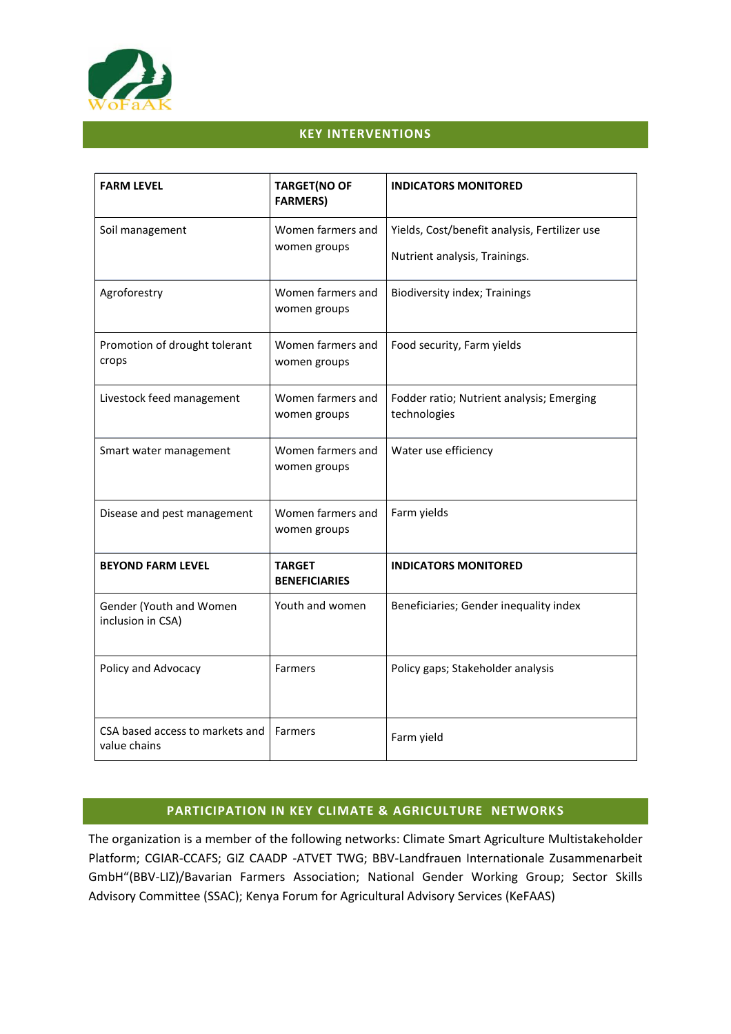

# **KEY INTERVENTIONS**

| <b>FARM LEVEL</b>                               | <b>TARGET(NO OF</b><br><b>FARMERS)</b> | <b>INDICATORS MONITORED</b>                                                    |
|-------------------------------------------------|----------------------------------------|--------------------------------------------------------------------------------|
| Soil management                                 | Women farmers and<br>women groups      | Yields, Cost/benefit analysis, Fertilizer use<br>Nutrient analysis, Trainings. |
| Agroforestry                                    | Women farmers and<br>women groups      | <b>Biodiversity index; Trainings</b>                                           |
| Promotion of drought tolerant<br>crops          | Women farmers and<br>women groups      | Food security, Farm yields                                                     |
| Livestock feed management                       | Women farmers and<br>women groups      | Fodder ratio; Nutrient analysis; Emerging<br>technologies                      |
| Smart water management                          | Women farmers and<br>women groups      | Water use efficiency                                                           |
| Disease and pest management                     | Women farmers and<br>women groups      | Farm yields                                                                    |
| <b>BEYOND FARM LEVEL</b>                        | <b>TARGET</b><br><b>BENEFICIARIES</b>  | <b>INDICATORS MONITORED</b>                                                    |
| Gender (Youth and Women<br>inclusion in CSA)    | Youth and women                        | Beneficiaries; Gender inequality index                                         |
| Policy and Advocacy                             | Farmers                                | Policy gaps; Stakeholder analysis                                              |
| CSA based access to markets and<br>value chains | <b>Farmers</b>                         | Farm yield                                                                     |

# **PARTICIPATION IN KEY CLIMATE & AGRICULTURE NETWORKS**

The organization is a member of the following networks: Climate Smart Agriculture Multistakeholder Platform; CGIAR-CCAFS; GIZ CAADP -ATVET TWG; BBV-Landfrauen Internationale Zusammenarbeit GmbH"(BBV-LIZ)/Bavarian Farmers Association; National Gender Working Group; Sector Skills Advisory Committee (SSAC); Kenya Forum for Agricultural Advisory Services (KeFAAS)